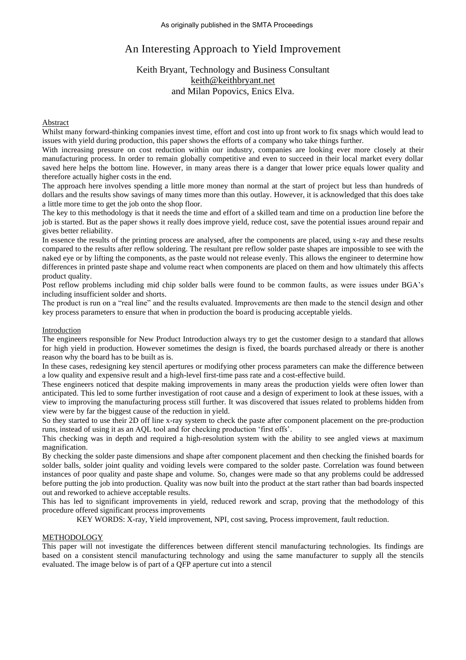# An Interesting Approach to Yield Improvement

## Keith Bryant, Technology and Business Consultant [keith@keithbryant.net](mailto:keith@keithbryant.net) and Milan Popovics, Enics Elva.

## **Abstract**

Whilst many forward-thinking companies invest time, effort and cost into up front work to fix snags which would lead to issues with yield during production, this paper shows the efforts of a company who take things further.

With increasing pressure on cost reduction within our industry, companies are looking ever more closely at their manufacturing process. In order to remain globally competitive and even to succeed in their local market every dollar saved here helps the bottom line. However, in many areas there is a danger that lower price equals lower quality and therefore actually higher costs in the end.

The approach here involves spending a little more money than normal at the start of project but less than hundreds of dollars and the results show savings of many times more than this outlay. However, it is acknowledged that this does take a little more time to get the job onto the shop floor.

The key to this methodology is that it needs the time and effort of a skilled team and time on a production line before the job is started. But as the paper shows it really does improve yield, reduce cost, save the potential issues around repair and gives better reliability.

In essence the results of the printing process are analysed, after the components are placed, using x-ray and these results compared to the results after reflow soldering. The resultant pre reflow solder paste shapes are impossible to see with the naked eye or by lifting the components, as the paste would not release evenly. This allows the engineer to determine how differences in printed paste shape and volume react when components are placed on them and how ultimately this affects product quality.

Post reflow problems including mid chip solder balls were found to be common faults, as were issues under BGA's including insufficient solder and shorts.

The product is run on a "real line" and the results evaluated. Improvements are then made to the stencil design and other key process parameters to ensure that when in production the board is producing acceptable yields.

### **Introduction**

The engineers responsible for New Product Introduction always try to get the customer design to a standard that allows for high yield in production. However sometimes the design is fixed, the boards purchased already or there is another reason why the board has to be built as is.

In these cases, redesigning key stencil apertures or modifying other process parameters can make the difference between a low quality and expensive result and a high-level first-time pass rate and a cost-effective build.

These engineers noticed that despite making improvements in many areas the production yields were often lower than anticipated. This led to some further investigation of root cause and a design of experiment to look at these issues, with a view to improving the manufacturing process still further. It was discovered that issues related to problems hidden from view were by far the biggest cause of the reduction in yield.

So they started to use their 2D off line x-ray system to check the paste after component placement on the pre-production runs, instead of using it as an AQL tool and for checking production 'first offs'.

This checking was in depth and required a high-resolution system with the ability to see angled views at maximum magnification.

By checking the solder paste dimensions and shape after component placement and then checking the finished boards for solder balls, solder joint quality and voiding levels were compared to the solder paste. Correlation was found between instances of poor quality and paste shape and volume. So, changes were made so that any problems could be addressed before putting the job into production. Quality was now built into the product at the start rather than bad boards inspected out and reworked to achieve acceptable results.

This has led to significant improvements in yield, reduced rework and scrap, proving that the methodology of this procedure offered significant process improvements

KEY WORDS: X-ray, Yield improvement, NPI, cost saving, Process improvement, fault reduction.

## METHODOLOGY

This paper will not investigate the differences between different stencil manufacturing technologies. Its findings are based on a consistent stencil manufacturing technology and using the same manufacturer to supply all the stencils evaluated. The image below is of part of a QFP aperture cut into a stencil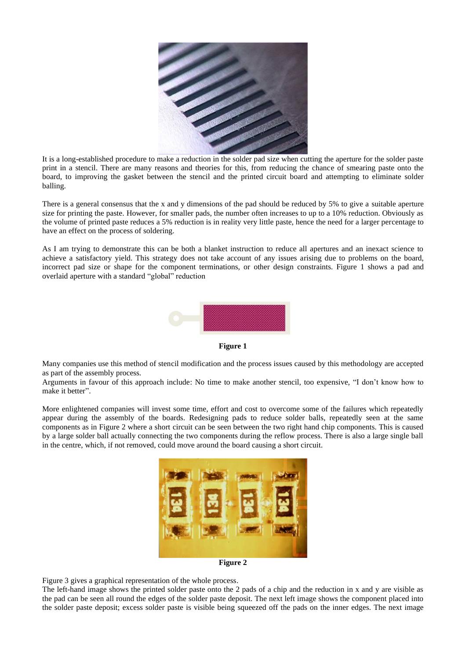

It is a long-established procedure to make a reduction in the solder pad size when cutting the aperture for the solder paste print in a stencil. There are many reasons and theories for this, from reducing the chance of smearing paste onto the board, to improving the gasket between the stencil and the printed circuit board and attempting to eliminate solder balling.

There is a general consensus that the x and y dimensions of the pad should be reduced by 5% to give a suitable aperture size for printing the paste. However, for smaller pads, the number often increases to up to a 10% reduction. Obviously as the volume of printed paste reduces a 5% reduction is in reality very little paste, hence the need for a larger percentage to have an effect on the process of soldering.

As I am trying to demonstrate this can be both a blanket instruction to reduce all apertures and an inexact science to achieve a satisfactory yield. This strategy does not take account of any issues arising due to problems on the board, incorrect pad size or shape for the component terminations, or other design constraints. Figure 1 shows a pad and overlaid aperture with a standard "global" reduction



**Figure 1**

Many companies use this method of stencil modification and the process issues caused by this methodology are accepted as part of the assembly process.

Arguments in favour of this approach include: No time to make another stencil, too expensive, "I don't know how to make it better".

More enlightened companies will invest some time, effort and cost to overcome some of the failures which repeatedly appear during the assembly of the boards. Redesigning pads to reduce solder balls, repeatedly seen at the same components as in Figure 2 where a short circuit can be seen between the two right hand chip components. This is caused by a large solder ball actually connecting the two components during the reflow process. There is also a large single ball in the centre, which, if not removed, could move around the board causing a short circuit.



**Figure 2**

Figure 3 gives a graphical representation of the whole process.

The left-hand image shows the printed solder paste onto the 2 pads of a chip and the reduction in x and y are visible as the pad can be seen all round the edges of the solder paste deposit. The next left image shows the component placed into the solder paste deposit; excess solder paste is visible being squeezed off the pads on the inner edges. The next image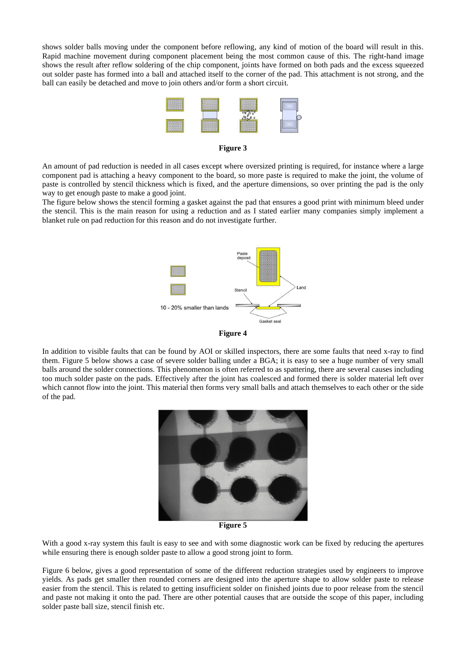shows solder balls moving under the component before reflowing, any kind of motion of the board will result in this. Rapid machine movement during component placement being the most common cause of this. The right-hand image shows the result after reflow soldering of the chip component, joints have formed on both pads and the excess squeezed out solder paste has formed into a ball and attached itself to the corner of the pad. This attachment is not strong, and the ball can easily be detached and move to join others and/or form a short circuit.



**Figure 3**

An amount of pad reduction is needed in all cases except where oversized printing is required, for instance where a large component pad is attaching a heavy component to the board, so more paste is required to make the joint, the volume of paste is controlled by stencil thickness which is fixed, and the aperture dimensions, so over printing the pad is the only way to get enough paste to make a good joint.

The figure below shows the stencil forming a gasket against the pad that ensures a good print with minimum bleed under the stencil. This is the main reason for using a reduction and as I stated earlier many companies simply implement a blanket rule on pad reduction for this reason and do not investigate further.





In addition to visible faults that can be found by AOI or skilled inspectors, there are some faults that need x-ray to find them. Figure 5 below shows a case of severe solder balling under a BGA; it is easy to see a huge number of very small balls around the solder connections. This phenomenon is often referred to as spattering, there are several causes including too much solder paste on the pads. Effectively after the joint has coalesced and formed there is solder material left over which cannot flow into the joint. This material then forms very small balls and attach themselves to each other or the side of the pad.



**Figure 5**

With a good x-ray system this fault is easy to see and with some diagnostic work can be fixed by reducing the apertures while ensuring there is enough solder paste to allow a good strong joint to form.

Figure 6 below, gives a good representation of some of the different reduction strategies used by engineers to improve yields. As pads get smaller then rounded corners are designed into the aperture shape to allow solder paste to release easier from the stencil. This is related to getting insufficient solder on finished joints due to poor release from the stencil and paste not making it onto the pad. There are other potential causes that are outside the scope of this paper, including solder paste ball size, stencil finish etc.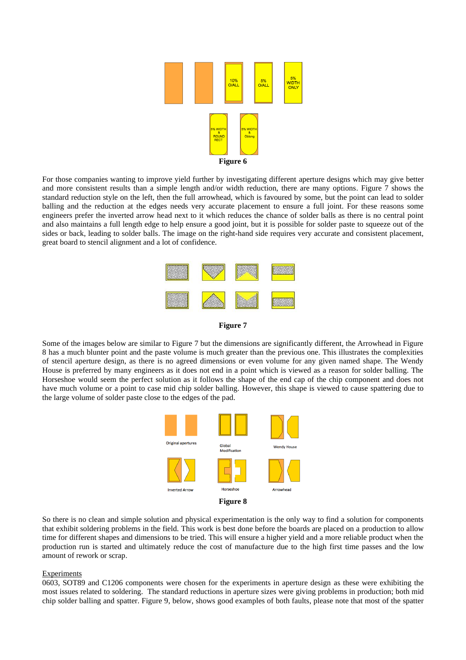

For those companies wanting to improve yield further by investigating different aperture designs which may give better and more consistent results than a simple length and/or width reduction, there are many options. Figure 7 shows the standard reduction style on the left, then the full arrowhead, which is favoured by some, but the point can lead to solder balling and the reduction at the edges needs very accurate placement to ensure a full joint. For these reasons some engineers prefer the inverted arrow head next to it which reduces the chance of solder balls as there is no central point and also maintains a full length edge to help ensure a good joint, but it is possible for solder paste to squeeze out of the sides or back, leading to solder balls. The image on the right-hand side requires very accurate and consistent placement, great board to stencil alignment and a lot of confidence.





Some of the images below are similar to Figure 7 but the dimensions are significantly different, the Arrowhead in Figure 8 has a much blunter point and the paste volume is much greater than the previous one. This illustrates the complexities of stencil aperture design, as there is no agreed dimensions or even volume for any given named shape. The Wendy House is preferred by many engineers as it does not end in a point which is viewed as a reason for solder balling. The Horseshoe would seem the perfect solution as it follows the shape of the end cap of the chip component and does not have much volume or a point to case mid chip solder balling. However, this shape is viewed to cause spattering due to the large volume of solder paste close to the edges of the pad.



So there is no clean and simple solution and physical experimentation is the only way to find a solution for components that exhibit soldering problems in the field. This work is best done before the boards are placed on a production to allow time for different shapes and dimensions to be tried. This will ensure a higher yield and a more reliable product when the production run is started and ultimately reduce the cost of manufacture due to the high first time passes and the low amount of rework or scrap.

#### Experiments

0603, SOT89 and C1206 components were chosen for the experiments in aperture design as these were exhibiting the most issues related to soldering. The standard reductions in aperture sizes were giving problems in production; both mid chip solder balling and spatter. Figure 9, below, shows good examples of both faults, please note that most of the spatter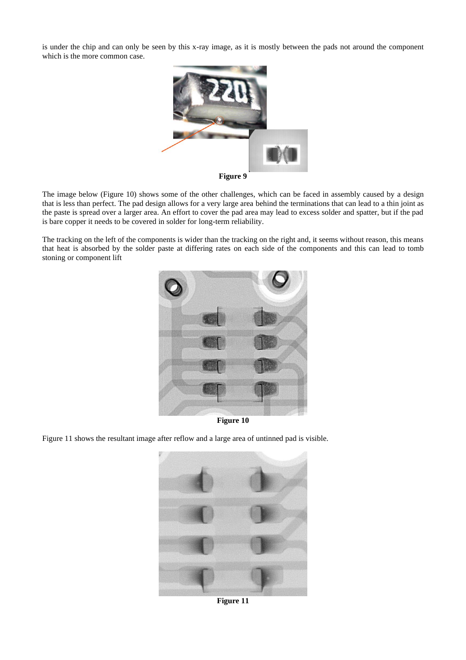is under the chip and can only be seen by this x-ray image, as it is mostly between the pads not around the component which is the more common case.



**Figure 9**

The image below (Figure 10) shows some of the other challenges, which can be faced in assembly caused by a design that is less than perfect. The pad design allows for a very large area behind the terminations that can lead to a thin joint as the paste is spread over a larger area. An effort to cover the pad area may lead to excess solder and spatter, but if the pad is bare copper it needs to be covered in solder for long-term reliability.

The tracking on the left of the components is wider than the tracking on the right and, it seems without reason, this means that heat is absorbed by the solder paste at differing rates on each side of the components and this can lead to tomb stoning or component lift



**Figure 10**

Figure 11 shows the resultant image after reflow and a large area of untinned pad is visible.



**Figure 11**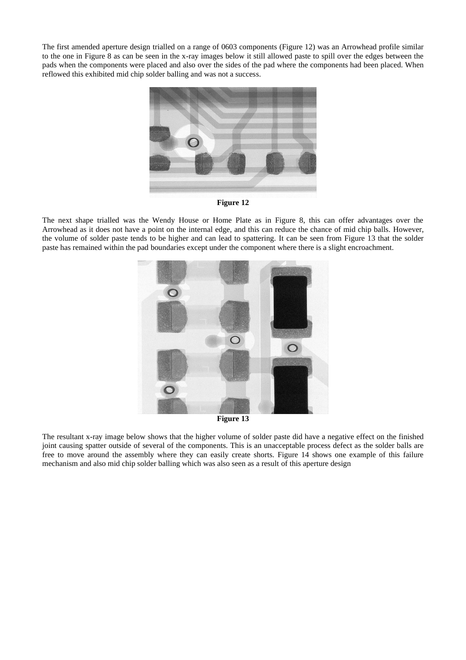The first amended aperture design trialled on a range of 0603 components (Figure 12) was an Arrowhead profile similar to the one in Figure 8 as can be seen in the x-ray images below it still allowed paste to spill over the edges between the pads when the components were placed and also over the sides of the pad where the components had been placed. When reflowed this exhibited mid chip solder balling and was not a success.



**Figure 12**

The next shape trialled was the Wendy House or Home Plate as in Figure 8, this can offer advantages over the Arrowhead as it does not have a point on the internal edge, and this can reduce the chance of mid chip balls. However, the volume of solder paste tends to be higher and can lead to spattering. It can be seen from Figure 13 that the solder paste has remained within the pad boundaries except under the component where there is a slight encroachment.



**Figure 13**

The resultant x-ray image below shows that the higher volume of solder paste did have a negative effect on the finished joint causing spatter outside of several of the components. This is an unacceptable process defect as the solder balls are free to move around the assembly where they can easily create shorts. Figure 14 shows one example of this failure mechanism and also mid chip solder balling which was also seen as a result of this aperture design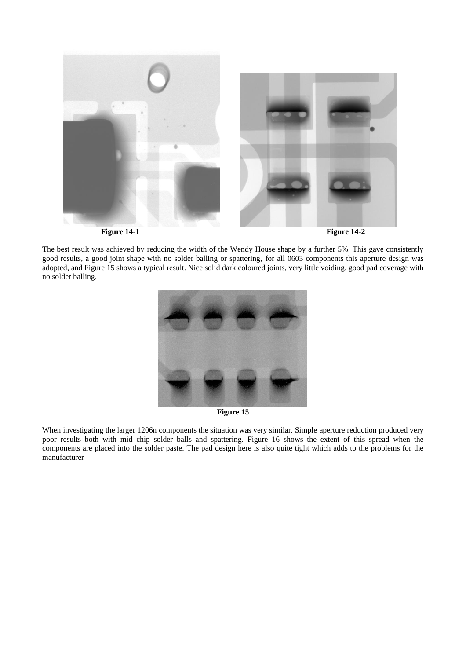

The best result was achieved by reducing the width of the Wendy House shape by a further 5%. This gave consistently good results, a good joint shape with no solder balling or spattering, for all 0603 components this aperture design was adopted, and Figure 15 shows a typical result. Nice solid dark coloured joints, very little voiding, good pad coverage with no solder balling.



**Figure 15**

When investigating the larger 1206n components the situation was very similar. Simple aperture reduction produced very poor results both with mid chip solder balls and spattering. Figure 16 shows the extent of this spread when the components are placed into the solder paste. The pad design here is also quite tight which adds to the problems for the manufacturer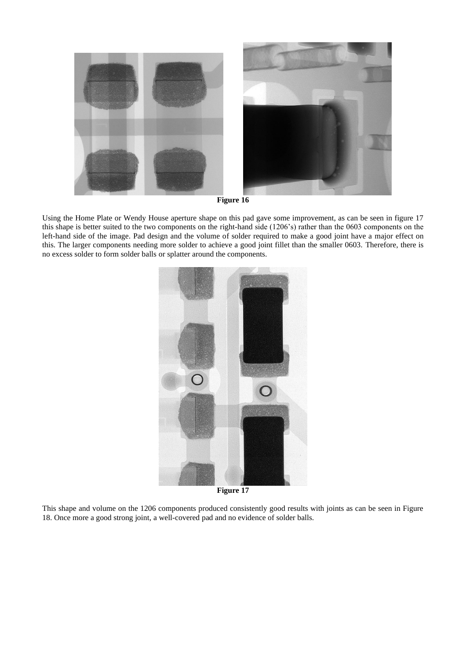

**Figure 16**

Using the Home Plate or Wendy House aperture shape on this pad gave some improvement, as can be seen in figure 17 this shape is better suited to the two components on the right-hand side (1206's) rather than the 0603 components on the left-hand side of the image. Pad design and the volume of solder required to make a good joint have a major effect on this. The larger components needing more solder to achieve a good joint fillet than the smaller 0603. Therefore, there is no excess solder to form solder balls or splatter around the components.



**Figure 17**

This shape and volume on the 1206 components produced consistently good results with joints as can be seen in Figure 18. Once more a good strong joint, a well-covered pad and no evidence of solder balls.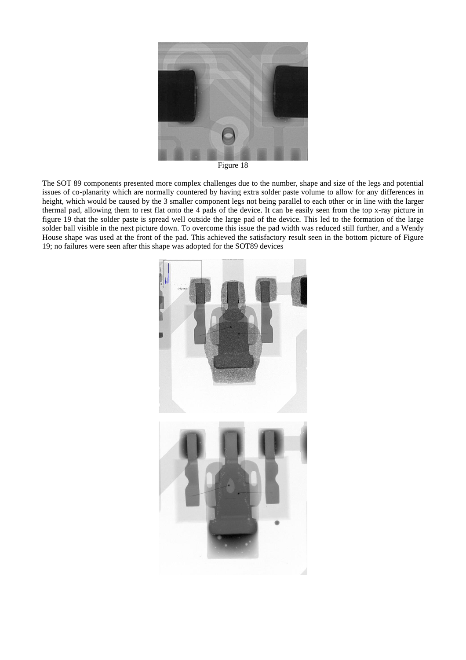

Figure 18

The SOT 89 components presented more complex challenges due to the number, shape and size of the legs and potential issues of co-planarity which are normally countered by having extra solder paste volume to allow for any differences in height, which would be caused by the 3 smaller component legs not being parallel to each other or in line with the larger thermal pad, allowing them to rest flat onto the 4 pads of the device. It can be easily seen from the top x-ray picture in figure 19 that the solder paste is spread well outside the large pad of the device. This led to the formation of the large solder ball visible in the next picture down. To overcome this issue the pad width was reduced still further, and a Wendy House shape was used at the front of the pad. This achieved the satisfactory result seen in the bottom picture of Figure 19; no failures were seen after this shape was adopted for the SOT89 devices

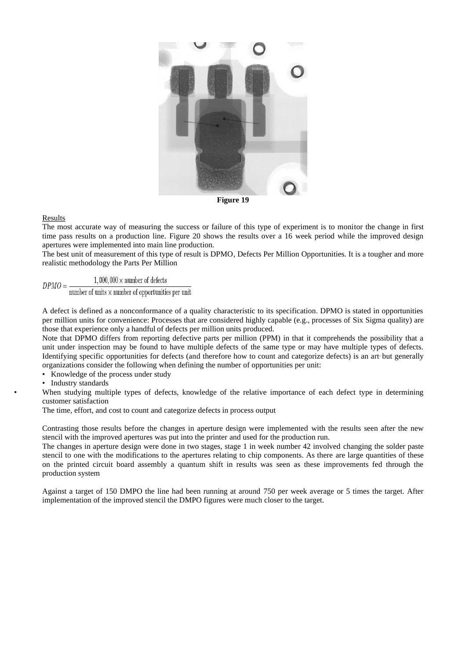

**Figure 19**

## Results

The most accurate way of measuring the success or failure of this type of experiment is to monitor the change in first time pass results on a production line. Figure 20 shows the results over a 16 week period while the improved design apertures were implemented into main line production.

The best unit of measurement of this type of result is DPMO, Defects Per Million Opportunities. It is a tougher and more realistic methodology the Parts Per Million

 $1,000,000 \times$  number of defects  $DPMO = -$ 

number of units  $\times$  number of opportunities per unit

A defect is defined as a nonconformance of a quality characteristic to its specification. DPMO is stated in opportunities per million units for convenience: Processes that are considered highly capable (e.g., processes of [Six Sigma](https://en.wikipedia.org/wiki/Six_Sigma) quality) are those that experience only a handful of defects per million units produced.

Note that DPMO differs from reporting defective parts per million (PPM) in that it comprehends the possibility that a unit under inspection may be found to have multiple defects of the same type or may have multiple types of defects. Identifying specific opportunities for defects (and therefore how to count and categorize defects) is an art but generally organizations consider the following when defining the number of opportunities per unit:

• Knowledge of the process under study

• Industry standards

When studying multiple types of defects, knowledge of the relative importance of each defect type in determining customer satisfaction

The time, effort, and cost to count and categorize defects in process output

Contrasting those results before the changes in aperture design were implemented with the results seen after the new stencil with the improved apertures was put into the printer and used for the production run.

The changes in aperture design were done in two stages, stage 1 in week number 42 involved changing the solder paste stencil to one with the modifications to the apertures relating to chip components. As there are large quantities of these on the printed circuit board assembly a quantum shift in results was seen as these improvements fed through the production system

Against a target of 150 DMPO the line had been running at around 750 per week average or 5 times the target. After implementation of the improved stencil the DMPO figures were much closer to the target.